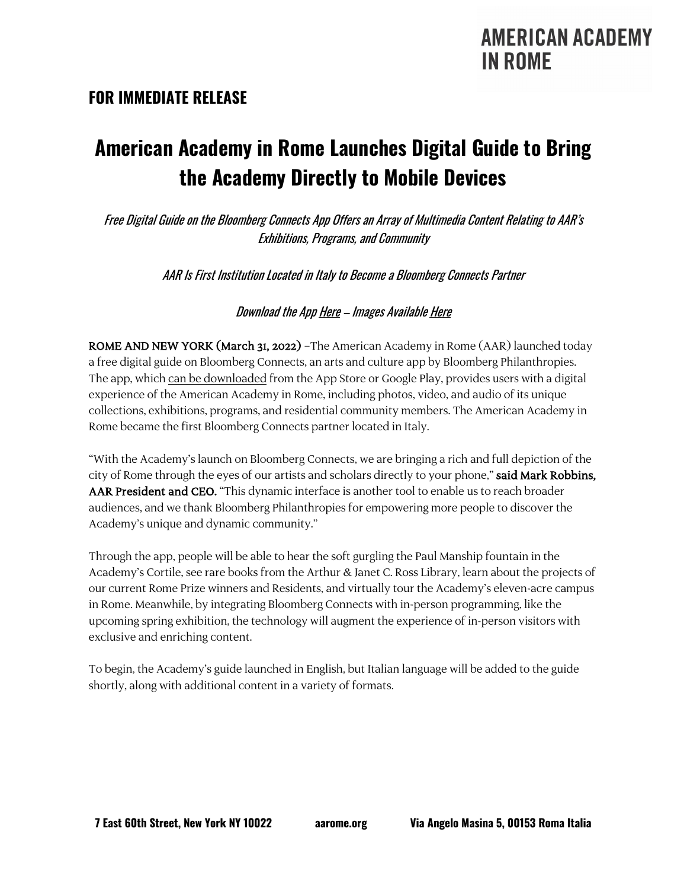### **AMERICAN ACADEMY IN ROME**

#### **FOR IMMEDIATE RELEASE**

# **American Academy in Rome Launches Digital Guide to Bring the Academy Directly to Mobile Devices**

Free Digital Guide on the Bloomberg Connects App Offers an Array of Multimedia Content Relating to AAR's Exhibitions, Programs, and Community

AAR Is First Institution Located in Italy to Become a Bloomberg Connects Partner

Download the App [Here](https://app.bloombergconnects.org/gQ92cawTrob) – Images Availabl[e Here](https://aarome.sharefile.com/d-s678b78de0a364d28af45110ad915afb6)

ROME AND NEW YORK (March 31, 2022) –The American Academy in Rome (AAR) launched today a free digital guide on Bloomberg Connects, an arts and culture app by Bloomberg Philanthropies. The app, which [can be downloaded](https://app.bloombergconnects.org/gQ92cawTrob) from the App Store or Google Play, provides users with a digital experience of the American Academy in Rome, including photos, video, and audio of its unique collections, exhibitions, programs, and residential community members. The American Academy in Rome became the first Bloomberg Connects partner located in Italy.

"With the Academy's launch on Bloomberg Connects, we are bringing a rich and full depiction of the city of Rome through the eyes of our artists and scholars directly to your phone," said Mark Robbins, AAR President and CEO. "This dynamic interface is another tool to enable us to reach broader audiences, and we thank Bloomberg Philanthropies for empowering more people to discover the Academy's unique and dynamic community."

Through the app, people will be able to hear the soft gurgling the Paul Manship fountain in the Academy's Cortile, see rare books from the Arthur & Janet C. Ross Library, learn about the projects of our current Rome Prize winners and Residents, and virtually tour the Academy's eleven-acre campus in Rome. Meanwhile, by integrating Bloomberg Connects with in-person programming, like the upcoming spring exhibition, the technology will augment the experience of in-person visitors with exclusive and enriching content.

To begin, the Academy's guide launched in English, but Italian language will be added to the guide shortly, along with additional content in a variety of formats.